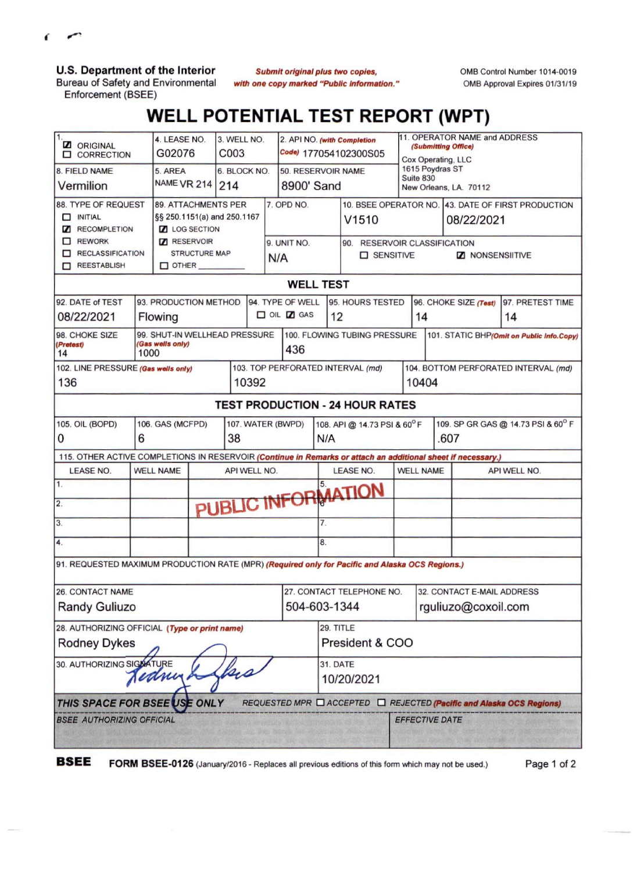

**U.S. Department of the Interior**

Bureau of Safety and Environmental Enforcement (BSEE)

*Submit original plus two copies, with one copy marked "Public Information.'* OMB Control Number 1014-0019 OMB Approval Expires 01/31/19

## **WELL POTENTIAL TEST REPORT (WPT)**

| 11.<br><b>Z</b> ORIGINAL<br><b>CORRECTION</b>                                                                |                                            | 4. LEASE NO.<br>G02076        |  | 3. WELL NO.<br>C <sub>003</sub> |                    |            | 2. API NO. (with Completion<br>Code) 177054102300S05 |                                                    |                                   |                                           | 11. OPERATOR NAME and ADDRESS<br>(Submitting Office)<br>Cox Operating, LLC |                                      |                                           |  |
|--------------------------------------------------------------------------------------------------------------|--------------------------------------------|-------------------------------|--|---------------------------------|--------------------|------------|------------------------------------------------------|----------------------------------------------------|-----------------------------------|-------------------------------------------|----------------------------------------------------------------------------|--------------------------------------|-------------------------------------------|--|
| 8. FIELD NAME                                                                                                | 5. AREA                                    | 6. BLOCK NO.                  |  |                                 | 50. RESERVOIR NAME |            |                                                      | 1615 Poydras ST<br>Suite 830                       |                                   |                                           |                                                                            |                                      |                                           |  |
| Vermilion                                                                                                    | NAME VR 214 214                            |                               |  |                                 |                    | 8900' Sand |                                                      |                                                    | New Orleans, LA. 70112            |                                           |                                                                            |                                      |                                           |  |
| 88. TYPE OF REQUEST                                                                                          |                                            | <b>89. ATTACHMENTS PER</b>    |  |                                 |                    | 7. OPD NO. |                                                      |                                                    |                                   |                                           | 10. BSEE OPERATOR NO. 43. DATE OF FIRST PRODUCTION                         |                                      |                                           |  |
| $\Box$ INITIAL                                                                                               | §§ 250.1151(a) and 250.1167                |                               |  |                                 |                    |            |                                                      | V1510                                              |                                   |                                           | 08/22/2021                                                                 |                                      |                                           |  |
| <b>Z</b> RECOMPLETION                                                                                        | <b>Z</b> LOG SECTION<br><b>7</b> RESERVOIR |                               |  |                                 |                    |            |                                                      |                                                    |                                   |                                           |                                                                            |                                      |                                           |  |
| $\Box$ REWORK<br>RECLASSIFICATION                                                                            | <b>STRUCTURE MAP</b>                       |                               |  |                                 | 9. UNIT NO.        |            |                                                      | 90. RESERVOIR CLASSIFICATION<br><b>O</b> SENSITIVE |                                   |                                           |                                                                            |                                      |                                           |  |
| REESTABLISH                                                                                                  | $\square$ other $\square$                  |                               |  |                                 |                    | N/A        |                                                      | <b>Z</b> NONSENSIITIVE                             |                                   |                                           |                                                                            |                                      |                                           |  |
| <b>WELL TEST</b>                                                                                             |                                            |                               |  |                                 |                    |            |                                                      |                                                    |                                   |                                           |                                                                            |                                      |                                           |  |
| 94. TYPE OF WELL                                                                                             |                                            |                               |  |                                 |                    |            |                                                      |                                                    |                                   |                                           |                                                                            |                                      |                                           |  |
| 92. DATE of TEST                                                                                             | 93. PRODUCTION METHOD                      |                               |  |                                 |                    |            |                                                      | 95. HOURS TESTED                                   |                                   | 96. CHOKE SIZE (Test)<br>97. PRETEST TIME |                                                                            |                                      |                                           |  |
| 08/22/2021                                                                                                   |                                            | Flowing                       |  |                                 |                    | OIL Z GAS  |                                                      |                                                    | 12                                |                                           | 14                                                                         |                                      | 14                                        |  |
| 98. CHOKE SIZE                                                                                               |                                            | 99. SHUT-IN WELLHEAD PRESSURE |  |                                 |                    |            |                                                      |                                                    | 100. FLOWING TUBING PRESSURE      |                                           |                                                                            |                                      | 101. STATIC BHP(Omit on Public Info.Copy) |  |
| 14                                                                                                           | (Gas wells only)<br>(Pretest)<br>1000      |                               |  |                                 |                    | 436        |                                                      |                                                    |                                   |                                           |                                                                            |                                      |                                           |  |
| 102. LINE PRESSURE (Gas wells only)                                                                          |                                            |                               |  |                                 |                    |            |                                                      |                                                    | 103. TOP PERFORATED INTERVAL (md) |                                           |                                                                            | 104. BOTTOM PERFORATED INTERVAL (md) |                                           |  |
| 136                                                                                                          |                                            |                               |  | 10392                           |                    |            |                                                      |                                                    |                                   | 10404                                     |                                                                            |                                      |                                           |  |
| <b>TEST PRODUCTION - 24 HOUR RATES</b>                                                                       |                                            |                               |  |                                 |                    |            |                                                      |                                                    |                                   |                                           |                                                                            |                                      |                                           |  |
| 105. OIL (BOPD)<br>106. GAS (MCFPD)<br>107. WATER (BWPD)                                                     |                                            |                               |  |                                 |                    |            | 108. API @ 14.73 PSI & 60°F                          |                                                    |                                   | 109. SP GR GAS @ 14.73 PSI & 60° F        |                                                                            |                                      |                                           |  |
| 0<br>6                                                                                                       |                                            |                               |  |                                 | 38                 |            |                                                      |                                                    | N/A                               |                                           | .607                                                                       |                                      |                                           |  |
| 115. OTHER ACTIVE COMPLETIONS IN RESERVOIR (Continue in Remarks or attach an additional sheet if necessary.) |                                            |                               |  |                                 |                    |            |                                                      |                                                    |                                   |                                           |                                                                            |                                      |                                           |  |
| <b>LEASE NO.</b>                                                                                             | <b>WELL NAME</b>                           |                               |  | API WELL NO.                    |                    |            |                                                      | LEASE NO.                                          |                                   | <b>WELL NAME</b>                          |                                                                            | API WELL NO.                         |                                           |  |
| $\overline{\mathbf{1}}$ .                                                                                    |                                            |                               |  |                                 |                    |            |                                                      |                                                    |                                   |                                           |                                                                            |                                      |                                           |  |
| $\overline{2}$ .                                                                                             |                                            |                               |  |                                 |                    |            |                                                      |                                                    | PUBLIC INFORMATION                |                                           |                                                                            |                                      |                                           |  |
| 3.                                                                                                           |                                            |                               |  |                                 |                    |            |                                                      | 7.                                                 |                                   |                                           |                                                                            |                                      |                                           |  |
| 4.                                                                                                           |                                            |                               |  |                                 |                    |            |                                                      | 8.                                                 |                                   |                                           |                                                                            |                                      |                                           |  |
| 91. REQUESTED MAXIMUM PRODUCTION RATE (MPR) (Required only for Pacific and Alaska OCS Regions.)              |                                            |                               |  |                                 |                    |            |                                                      |                                                    |                                   |                                           |                                                                            |                                      |                                           |  |
| 26. CONTACT NAME                                                                                             |                                            |                               |  |                                 |                    |            |                                                      |                                                    | 27. CONTACT TELEPHONE NO.         |                                           |                                                                            | 32. CONTACT E-MAIL ADDRESS           |                                           |  |
| <b>Randy Guliuzo</b>                                                                                         |                                            |                               |  |                                 |                    |            |                                                      |                                                    | 504-603-1344                      |                                           |                                                                            |                                      | rguliuzo@coxoil.com                       |  |
|                                                                                                              |                                            |                               |  |                                 |                    |            |                                                      |                                                    |                                   |                                           |                                                                            |                                      |                                           |  |
| 28. AUTHORIZING OFFICIAL (Type or print name)                                                                |                                            |                               |  |                                 |                    |            | 29. TITLE                                            |                                                    |                                   |                                           |                                                                            |                                      |                                           |  |
| <b>Rodney Dykes</b>                                                                                          |                                            |                               |  |                                 |                    |            | President & COO                                      |                                                    |                                   |                                           |                                                                            |                                      |                                           |  |
| 30. AUTHORIZING SIGNATURE                                                                                    |                                            |                               |  |                                 |                    |            |                                                      | 31. DATE                                           |                                   |                                           |                                                                            |                                      |                                           |  |
| Jednuk                                                                                                       |                                            |                               |  |                                 |                    |            |                                                      | 10/20/2021                                         |                                   |                                           |                                                                            |                                      |                                           |  |
| THIS SPACE FOR BSEE USE ONLY<br>REQUESTED MPR Q ACCEPTED Q REJECTED (Pacific and Alaska OCS Regions)         |                                            |                               |  |                                 |                    |            |                                                      |                                                    |                                   |                                           |                                                                            |                                      |                                           |  |
| <b>BSEE AUTHORIZING OFFICIAL</b>                                                                             |                                            |                               |  |                                 |                    |            |                                                      |                                                    | EFFECTIVE DATE                    |                                           |                                                                            |                                      |                                           |  |
|                                                                                                              |                                            |                               |  |                                 |                    |            |                                                      |                                                    |                                   |                                           |                                                                            | MA TAKE TANK AND STATISTICS ON       |                                           |  |

**BSEE FORM BSEE-0126** (January/2016 - Replaces all previous editions of this form which may not be used.) Page <sup>1</sup> of <sup>2</sup>